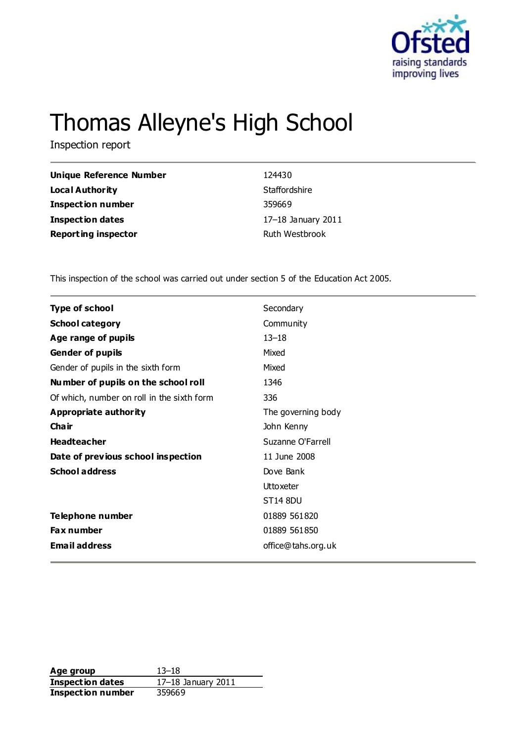

# Thomas Alleyne's High School

Inspection report

| Unique Reference Number    | 124430             |
|----------------------------|--------------------|
| <b>Local Authority</b>     | Staffordshire      |
| <b>Inspection number</b>   | 359669             |
| <b>Inspection dates</b>    | 17-18 January 2011 |
| <b>Reporting inspector</b> | Ruth Westbrook     |

This inspection of the school was carried out under section 5 of the Education Act 2005.

| <b>Type of school</b>                      | Secondary          |
|--------------------------------------------|--------------------|
| <b>School category</b>                     | Community          |
| Age range of pupils                        | $13 - 18$          |
| <b>Gender of pupils</b>                    | Mixed              |
| Gender of pupils in the sixth form         | Mixed              |
| Number of pupils on the school roll        | 1346               |
| Of which, number on roll in the sixth form | 336                |
| <b>Appropriate authority</b>               | The governing body |
| Cha ir                                     | John Kenny         |
| <b>Headteacher</b>                         | Suzanne O'Farrell  |
| Date of previous school inspection         | 11 June 2008       |
| <b>School address</b>                      | Dove Bank          |
|                                            | <b>Uttoxeter</b>   |
|                                            | <b>ST14 8DU</b>    |
| Telephone number                           | 01889 561820       |
| <b>Fax number</b>                          | 01889 561850       |
| <b>Email address</b>                       | office@tahs.org.uk |

**Age group** 13–18 **Inspection dates** 17–18 January 2011 **Inspection number** 359669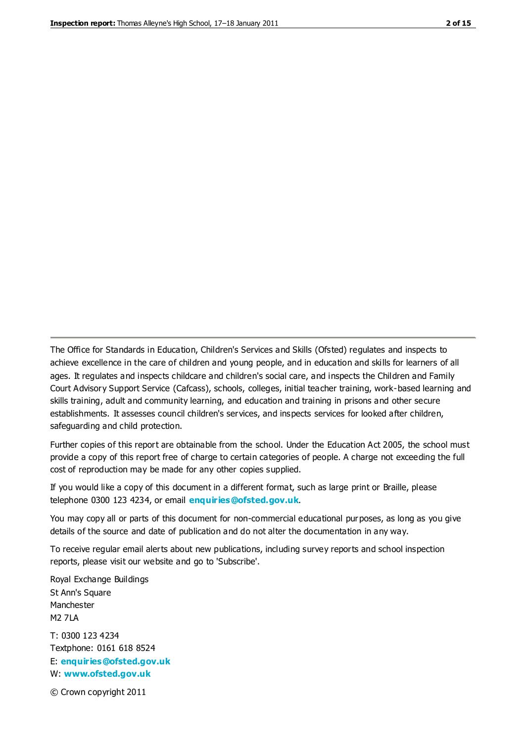The Office for Standards in Education, Children's Services and Skills (Ofsted) regulates and inspects to achieve excellence in the care of children and young people, and in education and skills for learners of all ages. It regulates and inspects childcare and children's social care, and inspects the Children and Family Court Advisory Support Service (Cafcass), schools, colleges, initial teacher training, work-based learning and skills training, adult and community learning, and education and training in prisons and other secure establishments. It assesses council children's services, and inspects services for looked after children, safeguarding and child protection.

Further copies of this report are obtainable from the school. Under the Education Act 2005, the school must provide a copy of this report free of charge to certain categories of people. A charge not exceeding the full cost of reproduction may be made for any other copies supplied.

If you would like a copy of this document in a different format, such as large print or Braille, please telephone 0300 123 4234, or email **[enquiries@ofsted.gov.uk](mailto:enquiries@ofsted.gov.uk)**.

You may copy all or parts of this document for non-commercial educational purposes, as long as you give details of the source and date of publication and do not alter the documentation in any way.

To receive regular email alerts about new publications, including survey reports and school inspection reports, please visit our website and go to 'Subscribe'.

Royal Exchange Buildings St Ann's Square Manchester M2 7LA T: 0300 123 4234 Textphone: 0161 618 8524 E: **[enquiries@ofsted.gov.uk](mailto:enquiries@ofsted.gov.uk)**

W: **[www.ofsted.gov.uk](http://www.ofsted.gov.uk/)**

© Crown copyright 2011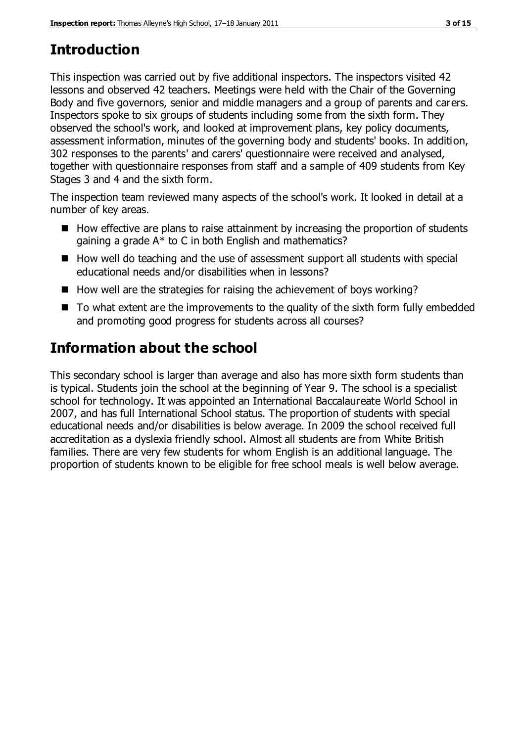# **Introduction**

This inspection was carried out by five additional inspectors. The inspectors visited 42 lessons and observed 42 teachers. Meetings were held with the Chair of the Governing Body and five governors, senior and middle managers and a group of parents and carers. Inspectors spoke to six groups of students including some from the sixth form. They observed the school's work, and looked at improvement plans, key policy documents, assessment information, minutes of the governing body and students' books. In addition, 302 responses to the parents' and carers' questionnaire were received and analysed, together with questionnaire responses from staff and a sample of 409 students from Key Stages 3 and 4 and the sixth form.

The inspection team reviewed many aspects of the school's work. It looked in detail at a number of key areas.

- $\blacksquare$  How effective are plans to raise attainment by increasing the proportion of students gaining a grade A\* to C in both English and mathematics?
- How well do teaching and the use of assessment support all students with special educational needs and/or disabilities when in lessons?
- $\blacksquare$  How well are the strategies for raising the achievement of boys working?
- $\blacksquare$  To what extent are the improvements to the quality of the sixth form fully embedded and promoting good progress for students across all courses?

# **Information about the school**

This secondary school is larger than average and also has more sixth form students than is typical. Students join the school at the beginning of Year 9. The school is a specialist school for technology. It was appointed an International Baccalaureate World School in 2007, and has full International School status. The proportion of students with special educational needs and/or disabilities is below average. In 2009 the school received full accreditation as a dyslexia friendly school. Almost all students are from White British families. There are very few students for whom English is an additional language. The proportion of students known to be eligible for free school meals is well below average.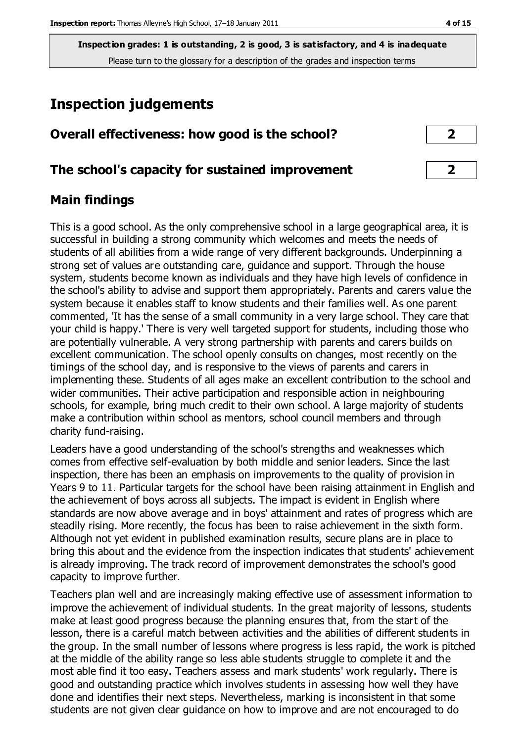# **Inspection judgements**

| Overall effectiveness: how good is the school? |
|------------------------------------------------|
|                                                |

### **The school's capacity for sustained improvement 2**

### **Main findings**

This is a good school. As the only comprehensive school in a large geographical area, it is successful in building a strong community which welcomes and meets the needs of students of all abilities from a wide range of very different backgrounds. Underpinning a strong set of values are outstanding care, guidance and support. Through the house system, students become known as individuals and they have high levels of confidence in the school's ability to advise and support them appropriately. Parents and carers value the system because it enables staff to know students and their families well. As one parent commented, 'It has the sense of a small community in a very large school. They care that your child is happy.' There is very well targeted support for students, including those who are potentially vulnerable. A very strong partnership with parents and carers builds on excellent communication. The school openly consults on changes, most recently on the timings of the school day, and is responsive to the views of parents and carers in implementing these. Students of all ages make an excellent contribution to the school and wider communities. Their active participation and responsible action in neighbouring schools, for example, bring much credit to their own school. A large majority of students make a contribution within school as mentors, school council members and through charity fund-raising.

Leaders have a good understanding of the school's strengths and weaknesses which comes from effective self-evaluation by both middle and senior leaders. Since the last inspection, there has been an emphasis on improvements to the quality of provision in Years 9 to 11. Particular targets for the school have been raising attainment in English and the achievement of boys across all subjects. The impact is evident in English where standards are now above average and in boys' attainment and rates of progress which are steadily rising. More recently, the focus has been to raise achievement in the sixth form. Although not yet evident in published examination results, secure plans are in place to bring this about and the evidence from the inspection indicates that students' achievement is already improving. The track record of improvement demonstrates the school's good capacity to improve further.

Teachers plan well and are increasingly making effective use of assessment information to improve the achievement of individual students. In the great majority of lessons, students make at least good progress because the planning ensures that, from the start of the lesson, there is a careful match between activities and the abilities of different students in the group. In the small number of lessons where progress is less rapid, the work is pitched at the middle of the ability range so less able students struggle to complete it and the most able find it too easy. Teachers assess and mark students' work regularly. There is good and outstanding practice which involves students in assessing how well they have done and identifies their next steps. Nevertheless, marking is inconsistent in that some students are not given clear guidance on how to improve and are not encouraged to do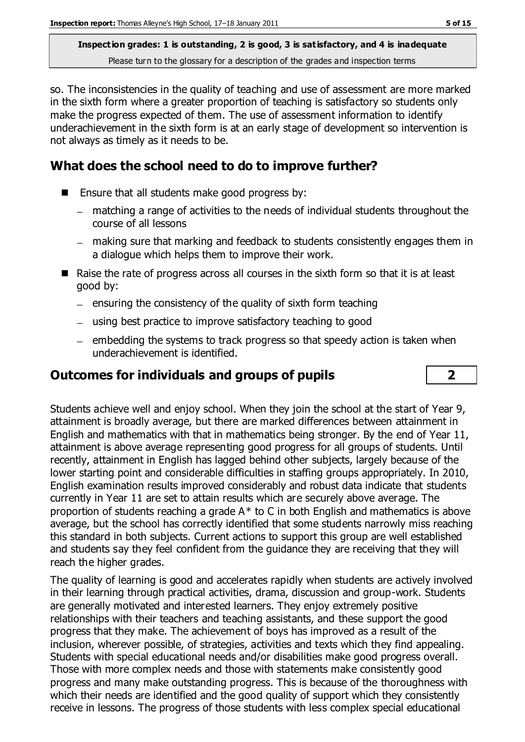so. The inconsistencies in the quality of teaching and use of assessment are more marked in the sixth form where a greater proportion of teaching is satisfactory so students only make the progress expected of them. The use of assessment information to identify underachievement in the sixth form is at an early stage of development so intervention is not always as timely as it needs to be.

## **What does the school need to do to improve further?**

- Ensure that all students make good progress by:
	- matching a range of activities to the needs of individual students throughout the course of all lessons
	- making sure that marking and feedback to students consistently engages them in a dialogue which helps them to improve their work.
- $\blacksquare$  Raise the rate of progress across all courses in the sixth form so that it is at least good by:
	- $-$  ensuring the consistency of the quality of sixth form teaching
	- using best practice to improve satisfactory teaching to good
	- $-$  embedding the systems to track progress so that speedy action is taken when underachievement is identified.

## **Outcomes for individuals and groups of pupils 2**

Students achieve well and enjoy school. When they join the school at the start of Year 9, attainment is broadly average, but there are marked differences between attainment in English and mathematics with that in mathematics being stronger. By the end of Year 11, attainment is above average representing good progress for all groups of students. Until recently, attainment in English has lagged behind other subjects, largely because of the lower starting point and considerable difficulties in staffing groups appropriately. In 2010, English examination results improved considerably and robust data indicate that students currently in Year 11 are set to attain results which are securely above average. The proportion of students reaching a grade  $A^*$  to C in both English and mathematics is above average, but the school has correctly identified that some students narrowly miss reaching this standard in both subjects. Current actions to support this group are well established and students say they feel confident from the guidance they are receiving that they will reach the higher grades.

The quality of learning is good and accelerates rapidly when students are actively involved in their learning through practical activities, drama, discussion and group-work. Students are generally motivated and interested learners. They enjoy extremely positive relationships with their teachers and teaching assistants, and these support the good progress that they make. The achievement of boys has improved as a result of the inclusion, wherever possible, of strategies, activities and texts which they find appealing. Students with special educational needs and/or disabilities make good progress overall. Those with more complex needs and those with statements make consistently good progress and many make outstanding progress. This is because of the thoroughness with which their needs are identified and the good quality of support which they consistently receive in lessons. The progress of those students with less complex special educational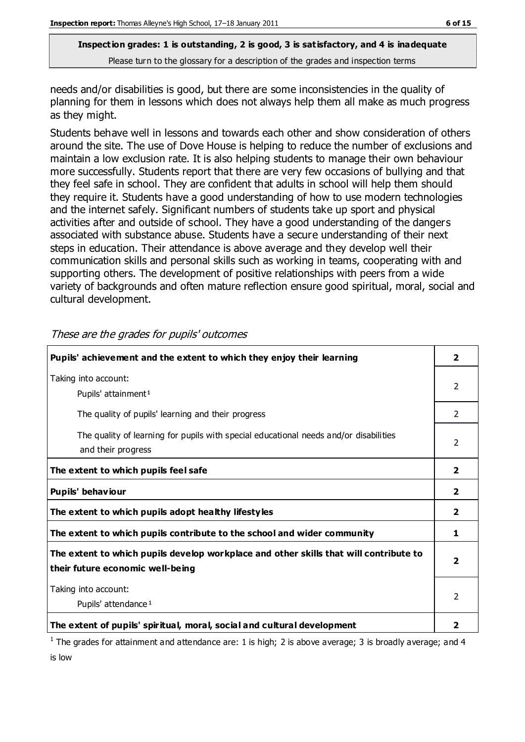needs and/or disabilities is good, but there are some inconsistencies in the quality of planning for them in lessons which does not always help them all make as much progress as they might.

Students behave well in lessons and towards each other and show consideration of others around the site. The use of Dove House is helping to reduce the number of exclusions and maintain a low exclusion rate. It is also helping students to manage their own behaviour more successfully. Students report that there are very few occasions of bullying and that they feel safe in school. They are confident that adults in school will help them should they require it. Students have a good understanding of how to use modern technologies and the internet safely. Significant numbers of students take up sport and physical activities after and outside of school. They have a good understanding of the dangers associated with substance abuse. Students have a secure understanding of their next steps in education. Their attendance is above average and they develop well their communication skills and personal skills such as working in teams, cooperating with and supporting others. The development of positive relationships with peers from a wide variety of backgrounds and often mature reflection ensure good spiritual, moral, social and cultural development.

| Pupils' achievement and the extent to which they enjoy their learning                                                     |                         |
|---------------------------------------------------------------------------------------------------------------------------|-------------------------|
| Taking into account:<br>Pupils' attainment <sup>1</sup>                                                                   | 2                       |
| The quality of pupils' learning and their progress                                                                        | 2                       |
| The quality of learning for pupils with special educational needs and/or disabilities<br>and their progress               |                         |
| The extent to which pupils feel safe                                                                                      |                         |
| Pupils' behaviour                                                                                                         | $\overline{\mathbf{2}}$ |
| The extent to which pupils adopt healthy lifestyles                                                                       | 2                       |
| The extent to which pupils contribute to the school and wider community                                                   | 1                       |
| The extent to which pupils develop workplace and other skills that will contribute to<br>their future economic well-being |                         |
| Taking into account:<br>Pupils' attendance <sup>1</sup>                                                                   |                         |
| The extent of pupils' spiritual, moral, social and cultural development                                                   | 2                       |

These are the grades for pupils' outcomes

<sup>1</sup> The grades for attainment and attendance are: 1 is high; 2 is above average; 3 is broadly average; and 4 is low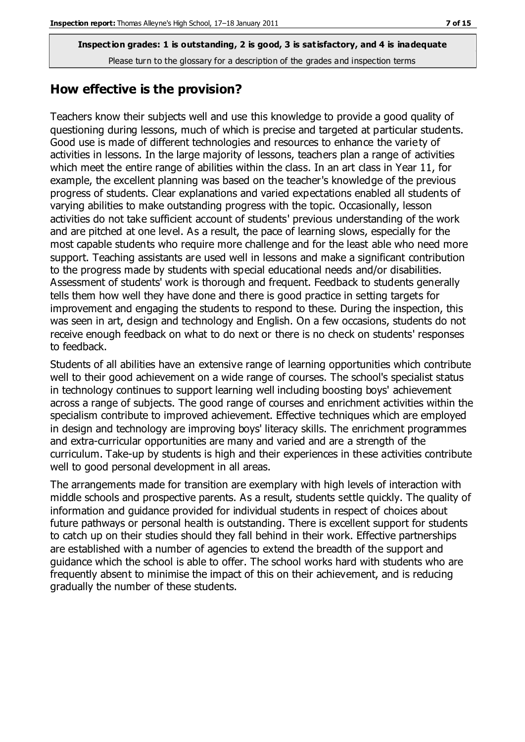#### **How effective is the provision?**

Teachers know their subjects well and use this knowledge to provide a good quality of questioning during lessons, much of which is precise and targeted at particular students. Good use is made of different technologies and resources to enhance the variety of activities in lessons. In the large majority of lessons, teachers plan a range of activities which meet the entire range of abilities within the class. In an art class in Year 11, for example, the excellent planning was based on the teacher's knowledge of the previous progress of students. Clear explanations and varied expectations enabled all students of varying abilities to make outstanding progress with the topic. Occasionally, lesson activities do not take sufficient account of students' previous understanding of the work and are pitched at one level. As a result, the pace of learning slows, especially for the most capable students who require more challenge and for the least able who need more support. Teaching assistants are used well in lessons and make a significant contribution to the progress made by students with special educational needs and/or disabilities. Assessment of students' work is thorough and frequent. Feedback to students generally tells them how well they have done and there is good practice in setting targets for improvement and engaging the students to respond to these. During the inspection, this was seen in art, design and technology and English. On a few occasions, students do not receive enough feedback on what to do next or there is no check on students' responses to feedback.

Students of all abilities have an extensive range of learning opportunities which contribute well to their good achievement on a wide range of courses. The school's specialist status in technology continues to support learning well including boosting boys' achievement across a range of subjects. The good range of courses and enrichment activities within the specialism contribute to improved achievement. Effective techniques which are employed in design and technology are improving boys' literacy skills. The enrichment programmes and extra-curricular opportunities are many and varied and are a strength of the curriculum. Take-up by students is high and their experiences in these activities contribute well to good personal development in all areas.

The arrangements made for transition are exemplary with high levels of interaction with middle schools and prospective parents. As a result, students settle quickly. The quality of information and guidance provided for individual students in respect of choices about future pathways or personal health is outstanding. There is excellent support for students to catch up on their studies should they fall behind in their work. Effective partnerships are established with a number of agencies to extend the breadth of the support and guidance which the school is able to offer. The school works hard with students who are frequently absent to minimise the impact of this on their achievement, and is reducing gradually the number of these students.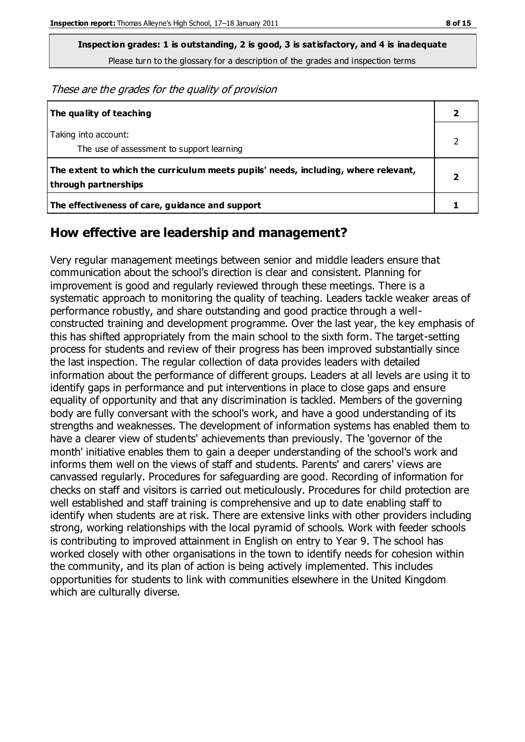**Inspection grades: 1 is outstanding, 2 is good, 3 is satisfactory, and 4 is inadequate**

Please turn to the glossary for a description of the grades and inspection terms

These are the grades for the quality of provision

| The quality of teaching                                                                                    |  |
|------------------------------------------------------------------------------------------------------------|--|
| Taking into account:<br>The use of assessment to support learning                                          |  |
| The extent to which the curriculum meets pupils' needs, including, where relevant,<br>through partnerships |  |
| The effectiveness of care, guidance and support                                                            |  |

#### **How effective are leadership and management?**

Very regular management meetings between senior and middle leaders ensure that communication about the school's direction is clear and consistent. Planning for improvement is good and regularly reviewed through these meetings. There is a systematic approach to monitoring the quality of teaching. Leaders tackle weaker areas of performance robustly, and share outstanding and good practice through a wellconstructed training and development programme. Over the last year, the key emphasis of this has shifted appropriately from the main school to the sixth form. The target-setting process for students and review of their progress has been improved substantially since the last inspection. The regular collection of data provides leaders with detailed information about the performance of different groups. Leaders at all levels are using it to identify gaps in performance and put interventions in place to close gaps and ensure equality of opportunity and that any discrimination is tackled. Members of the governing body are fully conversant with the school's work, and have a good understanding of its strengths and weaknesses. The development of information systems has enabled them to have a clearer view of students' achievements than previously. The 'governor of the month' initiative enables them to gain a deeper understanding of the school's work and informs them well on the views of staff and students. Parents' and carers' views are canvassed regularly. Procedures for safeguarding are good. Recording of information for checks on staff and visitors is carried out meticulously. Procedures for child protection are well established and staff training is comprehensive and up to date enabling staff to identify when students are at risk. There are extensive links with other providers including strong, working relationships with the local pyramid of schools. Work with feeder schools is contributing to improved attainment in English on entry to Year 9. The school has worked closely with other organisations in the town to identify needs for cohesion within the community, and its plan of action is being actively implemented. This includes opportunities for students to link with communities elsewhere in the United Kingdom which are culturally diverse.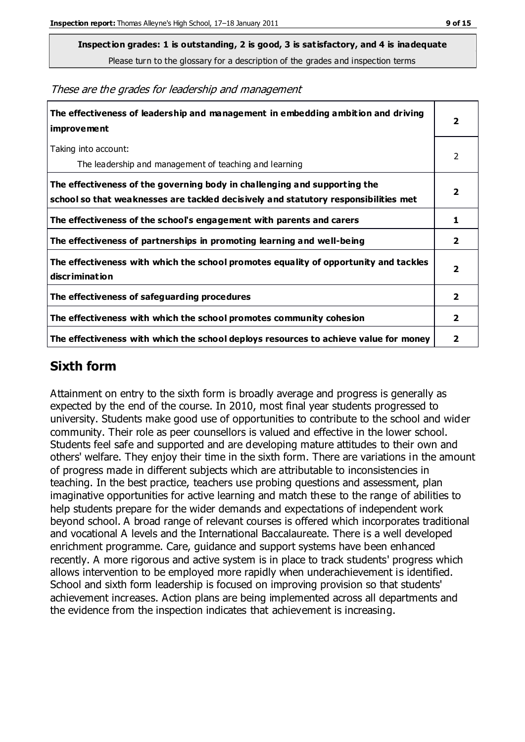**Inspection grades: 1 is outstanding, 2 is good, 3 is satisfactory, and 4 is inadequate**

Please turn to the glossary for a description of the grades and inspection terms

| The effectiveness of leadership and management in embedding ambition and driving<br><i>improvement</i>                                                           |                         |
|------------------------------------------------------------------------------------------------------------------------------------------------------------------|-------------------------|
| Taking into account:<br>The leadership and management of teaching and learning                                                                                   | 2                       |
| The effectiveness of the governing body in challenging and supporting the<br>school so that weaknesses are tackled decisively and statutory responsibilities met | $\overline{\mathbf{2}}$ |
| The effectiveness of the school's engagement with parents and carers                                                                                             | 1                       |
| The effectiveness of partnerships in promoting learning and well-being                                                                                           | $\overline{\mathbf{2}}$ |
| The effectiveness with which the school promotes equality of opportunity and tackles<br>discrimination                                                           | $\overline{2}$          |
| The effectiveness of safeguarding procedures                                                                                                                     | $\overline{2}$          |
| The effectiveness with which the school promotes community cohesion                                                                                              | $\overline{2}$          |
| The effectiveness with which the school deploys resources to achieve value for money                                                                             |                         |

These are the grades for leadership and management

## **Sixth form**

Attainment on entry to the sixth form is broadly average and progress is generally as expected by the end of the course. In 2010, most final year students progressed to university. Students make good use of opportunities to contribute to the school and wider community. Their role as peer counsellors is valued and effective in the lower school. Students feel safe and supported and are developing mature attitudes to their own and others' welfare. They enjoy their time in the sixth form. There are variations in the amount of progress made in different subjects which are attributable to inconsistencies in teaching. In the best practice, teachers use probing questions and assessment, plan imaginative opportunities for active learning and match these to the range of abilities to help students prepare for the wider demands and expectations of independent work beyond school. A broad range of relevant courses is offered which incorporates traditional and vocational A levels and the International Baccalaureate. There is a well developed enrichment programme. Care, guidance and support systems have been enhanced recently. A more rigorous and active system is in place to track students' progress which allows intervention to be employed more rapidly when underachievement is identified. School and sixth form leadership is focused on improving provision so that students' achievement increases. Action plans are being implemented across all departments and the evidence from the inspection indicates that achievement is increasing.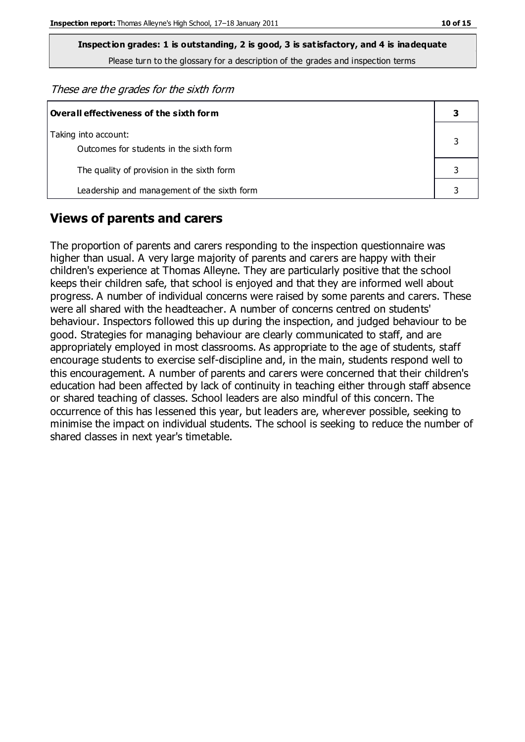**Inspection grades: 1 is outstanding, 2 is good, 3 is satisfactory, and 4 is inadequate**

Please turn to the glossary for a description of the grades and inspection terms

These are the grades for the sixth form

| Overall effectiveness of the sixth form                         |  |  |
|-----------------------------------------------------------------|--|--|
| Taking into account:<br>Outcomes for students in the sixth form |  |  |
| The quality of provision in the sixth form                      |  |  |
| Leadership and management of the sixth form                     |  |  |

#### **Views of parents and carers**

The proportion of parents and carers responding to the inspection questionnaire was higher than usual. A very large majority of parents and carers are happy with their children's experience at Thomas Alleyne. They are particularly positive that the school keeps their children safe, that school is enjoyed and that they are informed well about progress. A number of individual concerns were raised by some parents and carers. These were all shared with the headteacher. A number of concerns centred on students' behaviour. Inspectors followed this up during the inspection, and judged behaviour to be good. Strategies for managing behaviour are clearly communicated to staff, and are appropriately employed in most classrooms. As appropriate to the age of students, staff encourage students to exercise self-discipline and, in the main, students respond well to this encouragement. A number of parents and carers were concerned that their children's education had been affected by lack of continuity in teaching either through staff absence or shared teaching of classes. School leaders are also mindful of this concern. The occurrence of this has lessened this year, but leaders are, wherever possible, seeking to minimise the impact on individual students. The school is seeking to reduce the number of shared classes in next year's timetable.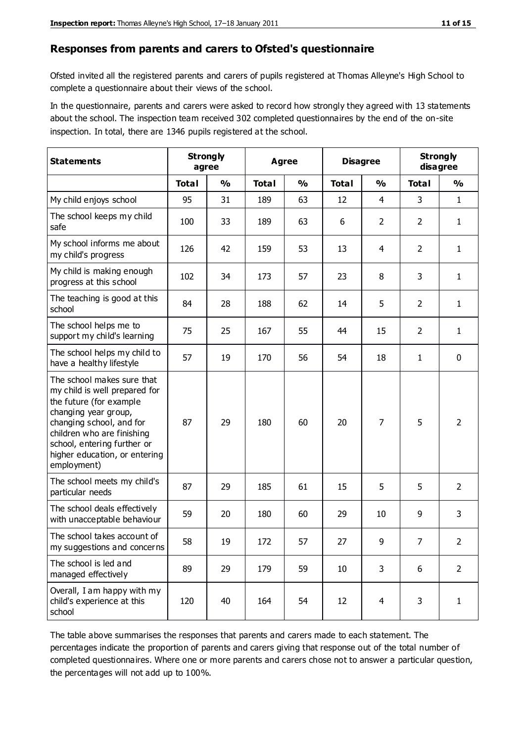#### **Responses from parents and carers to Ofsted's questionnaire**

Ofsted invited all the registered parents and carers of pupils registered at Thomas Alleyne's High School to complete a questionnaire about their views of the school.

In the questionnaire, parents and carers were asked to record how strongly they agreed with 13 statements about the school. The inspection team received 302 completed questionnaires by the end of the on-site inspection. In total, there are 1346 pupils registered at the school.

| <b>Statements</b>                                                                                                                                                                                                                                       | <b>Strongly</b><br>agree |               | <b>Agree</b> |               | <b>Disagree</b> |                | <b>Strongly</b><br>disagree |                |
|---------------------------------------------------------------------------------------------------------------------------------------------------------------------------------------------------------------------------------------------------------|--------------------------|---------------|--------------|---------------|-----------------|----------------|-----------------------------|----------------|
|                                                                                                                                                                                                                                                         | <b>Total</b>             | $\frac{0}{0}$ | <b>Total</b> | $\frac{0}{0}$ | <b>Total</b>    | $\frac{0}{0}$  | <b>Total</b>                | $\frac{0}{0}$  |
| My child enjoys school                                                                                                                                                                                                                                  | 95                       | 31            | 189          | 63            | 12              | $\overline{4}$ | 3                           | $\mathbf{1}$   |
| The school keeps my child<br>safe                                                                                                                                                                                                                       | 100                      | 33            | 189          | 63            | 6               | $\overline{2}$ | $\overline{2}$              | $\mathbf{1}$   |
| My school informs me about<br>my child's progress                                                                                                                                                                                                       | 126                      | 42            | 159          | 53            | 13              | 4              | $\overline{2}$              | $\mathbf{1}$   |
| My child is making enough<br>progress at this school                                                                                                                                                                                                    | 102                      | 34            | 173          | 57            | 23              | 8              | 3                           | $\mathbf{1}$   |
| The teaching is good at this<br>school                                                                                                                                                                                                                  | 84                       | 28            | 188          | 62            | 14              | 5              | $\overline{2}$              | $\mathbf{1}$   |
| The school helps me to<br>support my child's learning                                                                                                                                                                                                   | 75                       | 25            | 167          | 55            | 44              | 15             | $\overline{2}$              | $\mathbf{1}$   |
| The school helps my child to<br>have a healthy lifestyle                                                                                                                                                                                                | 57                       | 19            | 170          | 56            | 54              | 18             | $\mathbf{1}$                | $\mathbf 0$    |
| The school makes sure that<br>my child is well prepared for<br>the future (for example<br>changing year group,<br>changing school, and for<br>children who are finishing<br>school, entering further or<br>higher education, or entering<br>employment) | 87                       | 29            | 180          | 60            | 20              | $\overline{7}$ | 5                           | $\overline{2}$ |
| The school meets my child's<br>particular needs                                                                                                                                                                                                         | 87                       | 29            | 185          | 61            | 15              | 5              | 5                           | $\overline{2}$ |
| The school deals effectively<br>with unacceptable behaviour                                                                                                                                                                                             | 59                       | 20            | 180          | 60            | 29              | 10             | 9                           | 3              |
| The school takes account of<br>my suggestions and concerns                                                                                                                                                                                              | 58                       | 19            | 172          | 57            | 27              | 9              | $\overline{7}$              | 2              |
| The school is led and<br>managed effectively                                                                                                                                                                                                            | 89                       | 29            | 179          | 59            | 10              | 3              | 6                           | $\overline{2}$ |
| Overall, I am happy with my<br>child's experience at this<br>school                                                                                                                                                                                     | 120                      | 40            | 164          | 54            | 12              | $\overline{4}$ | 3                           | $\mathbf{1}$   |

The table above summarises the responses that parents and carers made to each statement. The percentages indicate the proportion of parents and carers giving that response out of the total number of completed questionnaires. Where one or more parents and carers chose not to answer a particular question, the percentages will not add up to 100%.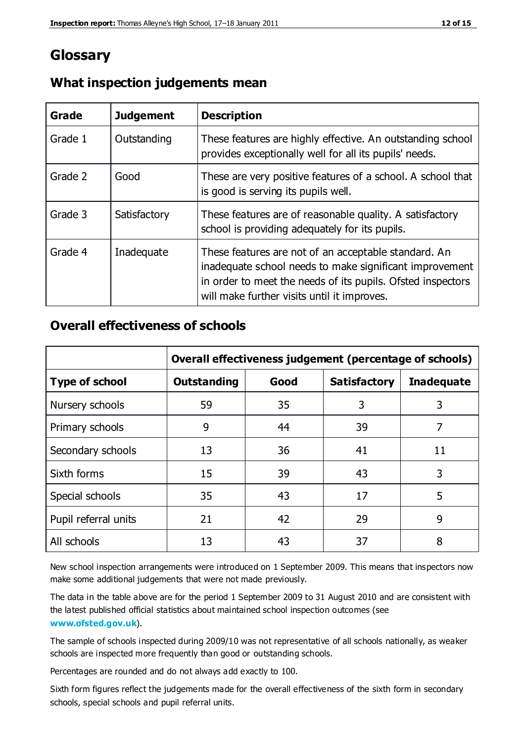## **Glossary**

| Grade   | <b>Judgement</b> | <b>Description</b>                                                                                                                                                                                                            |
|---------|------------------|-------------------------------------------------------------------------------------------------------------------------------------------------------------------------------------------------------------------------------|
| Grade 1 | Outstanding      | These features are highly effective. An outstanding school<br>provides exceptionally well for all its pupils' needs.                                                                                                          |
| Grade 2 | Good             | These are very positive features of a school. A school that<br>is good is serving its pupils well.                                                                                                                            |
| Grade 3 | Satisfactory     | These features are of reasonable quality. A satisfactory<br>school is providing adequately for its pupils.                                                                                                                    |
| Grade 4 | Inadequate       | These features are not of an acceptable standard. An<br>inadequate school needs to make significant improvement<br>in order to meet the needs of its pupils. Ofsted inspectors<br>will make further visits until it improves. |

#### **What inspection judgements mean**

### **Overall effectiveness of schools**

|                       | Overall effectiveness judgement (percentage of schools) |      |                     |                   |
|-----------------------|---------------------------------------------------------|------|---------------------|-------------------|
| <b>Type of school</b> | <b>Outstanding</b>                                      | Good | <b>Satisfactory</b> | <b>Inadequate</b> |
| Nursery schools       | 59                                                      | 35   | 3                   | 3                 |
| Primary schools       | 9                                                       | 44   | 39                  | 7                 |
| Secondary schools     | 13                                                      | 36   | 41                  | 11                |
| Sixth forms           | 15                                                      | 39   | 43                  | 3                 |
| Special schools       | 35                                                      | 43   | 17                  | 5                 |
| Pupil referral units  | 21                                                      | 42   | 29                  | 9                 |
| All schools           | 13                                                      | 43   | 37                  | 8                 |

New school inspection arrangements were introduced on 1 September 2009. This means that inspectors now make some additional judgements that were not made previously.

The data in the table above are for the period 1 September 2009 to 31 August 2010 and are consistent with the latest published official statistics about maintained school inspection outcomes (see **[www.ofsted.gov.uk](http://www.ofsted.gov.uk/)**).

The sample of schools inspected during 2009/10 was not representative of all schools nationally, as weaker schools are inspected more frequently than good or outstanding schools.

Percentages are rounded and do not always add exactly to 100.

Sixth form figures reflect the judgements made for the overall effectiveness of the sixth form in secondary schools, special schools and pupil referral units.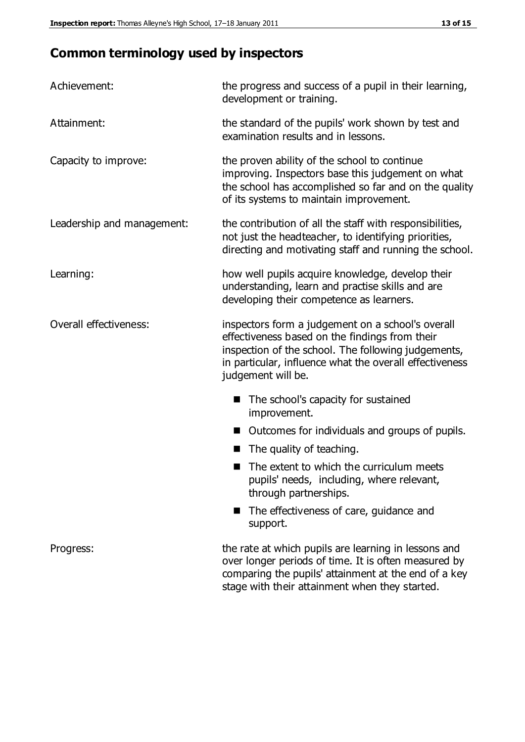# **Common terminology used by inspectors**

| Achievement:               | the progress and success of a pupil in their learning,<br>development or training.                                                                                                                                                          |  |  |
|----------------------------|---------------------------------------------------------------------------------------------------------------------------------------------------------------------------------------------------------------------------------------------|--|--|
| Attainment:                | the standard of the pupils' work shown by test and<br>examination results and in lessons.                                                                                                                                                   |  |  |
| Capacity to improve:       | the proven ability of the school to continue<br>improving. Inspectors base this judgement on what<br>the school has accomplished so far and on the quality<br>of its systems to maintain improvement.                                       |  |  |
| Leadership and management: | the contribution of all the staff with responsibilities,<br>not just the headteacher, to identifying priorities,<br>directing and motivating staff and running the school.                                                                  |  |  |
| Learning:                  | how well pupils acquire knowledge, develop their<br>understanding, learn and practise skills and are<br>developing their competence as learners.                                                                                            |  |  |
| Overall effectiveness:     | inspectors form a judgement on a school's overall<br>effectiveness based on the findings from their<br>inspection of the school. The following judgements,<br>in particular, influence what the overall effectiveness<br>judgement will be. |  |  |
|                            | The school's capacity for sustained<br>improvement.                                                                                                                                                                                         |  |  |
|                            | Outcomes for individuals and groups of pupils.                                                                                                                                                                                              |  |  |
|                            | The quality of teaching.                                                                                                                                                                                                                    |  |  |
|                            | The extent to which the curriculum meets<br>pupils' needs, including, where relevant,<br>through partnerships.                                                                                                                              |  |  |
|                            | The effectiveness of care, guidance and<br>support.                                                                                                                                                                                         |  |  |
| Progress:                  | the rate at which pupils are learning in lessons and<br>over longer periods of time. It is often measured by<br>comparing the pupils' attainment at the end of a key                                                                        |  |  |

stage with their attainment when they started.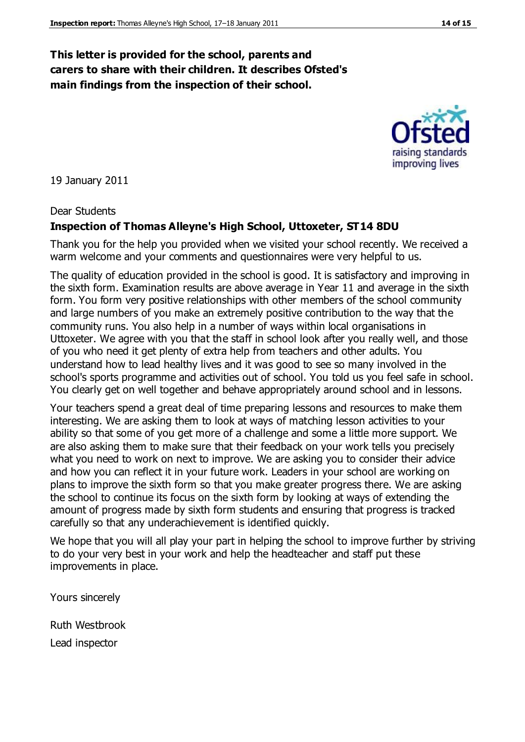#### **This letter is provided for the school, parents and carers to share with their children. It describes Ofsted's main findings from the inspection of their school.**

19 January 2011

#### Dear Students

#### **Inspection of Thomas Alleyne's High School, Uttoxeter, ST14 8DU**

Thank you for the help you provided when we visited your school recently. We received a warm welcome and your comments and questionnaires were very helpful to us.

The quality of education provided in the school is good. It is satisfactory and improving in the sixth form. Examination results are above average in Year 11 and average in the sixth form. You form very positive relationships with other members of the school community and large numbers of you make an extremely positive contribution to the way that the community runs. You also help in a number of ways within local organisations in Uttoxeter. We agree with you that the staff in school look after you really well, and those of you who need it get plenty of extra help from teachers and other adults. You understand how to lead healthy lives and it was good to see so many involved in the school's sports programme and activities out of school. You told us you feel safe in school. You clearly get on well together and behave appropriately around school and in lessons.

Your teachers spend a great deal of time preparing lessons and resources to make them interesting. We are asking them to look at ways of matching lesson activities to your ability so that some of you get more of a challenge and some a little more support. We are also asking them to make sure that their feedback on your work tells you precisely what you need to work on next to improve. We are asking you to consider their advice and how you can reflect it in your future work. Leaders in your school are working on plans to improve the sixth form so that you make greater progress there. We are asking the school to continue its focus on the sixth form by looking at ways of extending the amount of progress made by sixth form students and ensuring that progress is tracked carefully so that any underachievement is identified quickly.

We hope that you will all play your part in helping the school to improve further by striving to do your very best in your work and help the headteacher and staff put these improvements in place.

Yours sincerely

Ruth Westbrook

Lead inspector